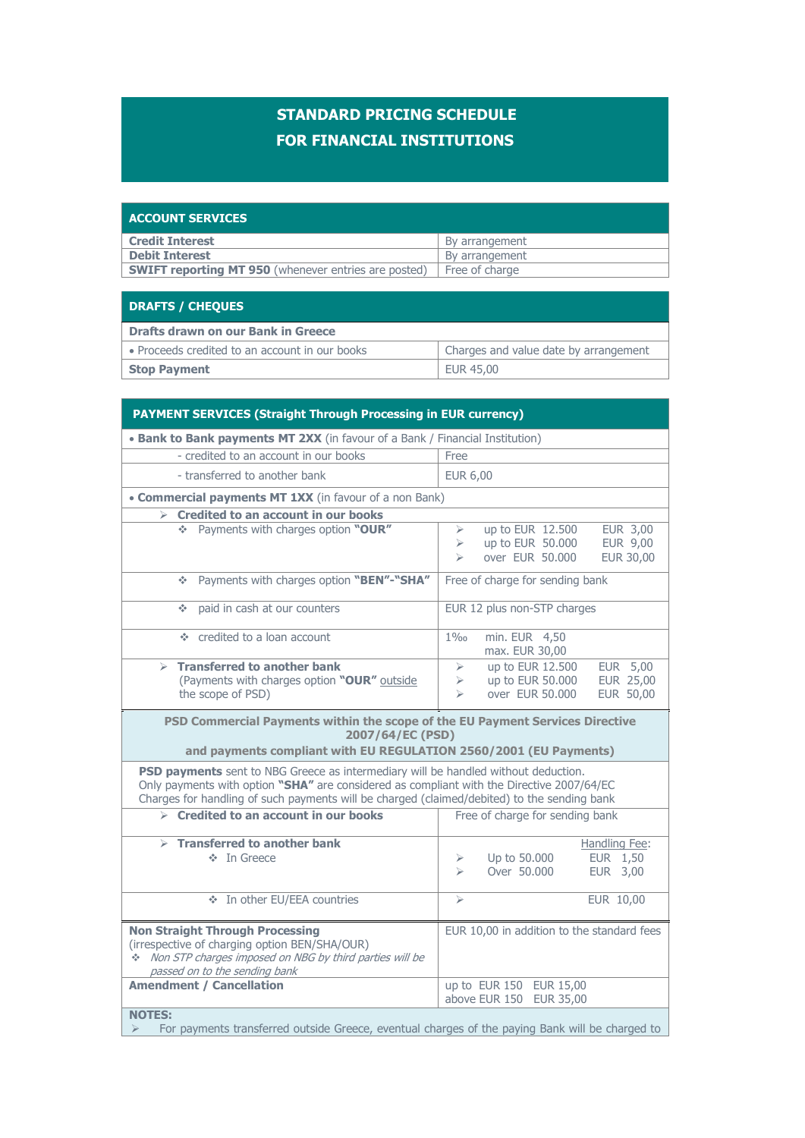## **STANDARD PRICING SCHEDULE FOR FINANCIAL INSTITUTIONS**

| <b>ACCOUNT SERVICES</b>                                     |                |
|-------------------------------------------------------------|----------------|
| <b>Credit Interest</b>                                      | By arrangement |
| <b>Debit Interest</b>                                       | By arrangement |
| <b>SWIFT reporting MT 950</b> (whenever entries are posted) | Free of charge |
|                                                             |                |

## **DRAFTS / CHEQUES**

| <b>Drafts drawn on our Bank in Greece</b>      |                                       |
|------------------------------------------------|---------------------------------------|
| • Proceeds credited to an account in our books | Charges and value date by arrangement |
| <b>Stop Payment</b>                            | EUR 45,00                             |

## **PAYMENT SERVICES (Straight Through Processing in EUR currency) Bank to Bank payments MT 2XX** (in favour of a Bank / Financial Institution) - credited to an account in our books Free - transferred to another bank EUR 6,00 **Commercial payments MT 1XX** (in favour of a non Bank) **Credited to an account in our books EUR 3,00** Payments with charges option **"OUR"** > up to EUR 12.500 EUR 3,00  $\geq$  up to EUR 50.000 EUR 9,00<br> $\geq$  over EUR 50.000 EUR 30.00  $\triangleright$  over EUR 50.000 Payments with charges option **"BEN"-"SHA"** Free of charge for sending bank • paid in cash at our counters EUR 12 plus non-STP charges credited to a loan account 1‰ min. EUR 4,50 max. EUR 30,00 **Transferred to another bank** (Payments with charges option **"OUR"** outside the scope of PSD)  $\uparrow$  up to EUR 12.500 EUR 5,00<br>  $\uparrow$  up to EUR 50.000 EUR 25.00  $\geq$  up to EUR 50,000 over EUR 50.000 EUR 50,00 **PSD Commercial Payments within the scope of the EU Payment Services Directive 2007/64/EC (PSD) and payments compliant with EU REGULATION 2560/2001 (EU Payments) PSD payments** sent to NBG Greece as intermediary will be handled without deduction. Only payments with option **"SHA"** are considered as compliant with the Directive 2007/64/EC Charges for handling of such payments will be charged (claimed/debited) to the sending bank **Credited to an account in our books** Free of charge for sending bank **Transferred to another bank** In Greece Handling Fee:  $\uparrow$  Up to 50.000<br> $\downarrow$  Over 50.000 A Up to 50.000 EUR 1,50<br>  $\geq$  Over 50.000 EUR 3,00 In other EU/EEA countries EUR 10,00 **Non Straight Through Processing** (irrespective of charging option BEN/SHA/OUR)  $\ddot{\textbf{v}}$  Non STP charges imposed on NBG by third parties will be passed on to the sending bank EUR 10,00 in addition to the standard fees **Amendment / Cancellation up to EUR 150 EUR 15,00** above EUR 150 EUR 35,00 **NOTES:**

 $\triangleright$  For payments transferred outside Greece, eventual charges of the paying Bank will be charged to